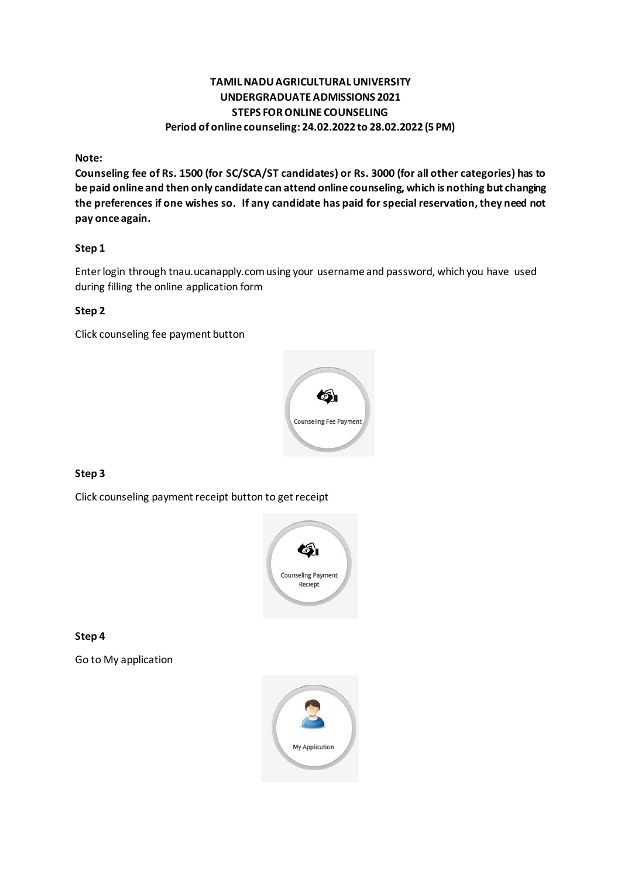# **TAMIL NADU AGRICULTURAL UNIVERSITY UNDERGRADUATE ADMISSIONS 2021 STEPS FOR ONLINE COUNSELING Period of online counseling: 24.02.2022 to 28.02.2022 (5 PM)**

**Note:**

**Counseling fee of Rs. 1500 (for SC/SCA/ST candidates) or Rs. 3000 (for all other categories) has to be paid online and then only candidate can attend online counseling, which is nothing but changing the preferences if one wishes so. If any candidate has paid for special reservation, they need not pay once again.**

## **Step 1**

Enter login through tnau.ucanapply.com using your username and password, which you have used during filling the online application form

#### **Step 2**

Click counseling fee payment button



# **Step 3**

Click counseling payment receipt button to get receipt



**Step 4**

Go to My application

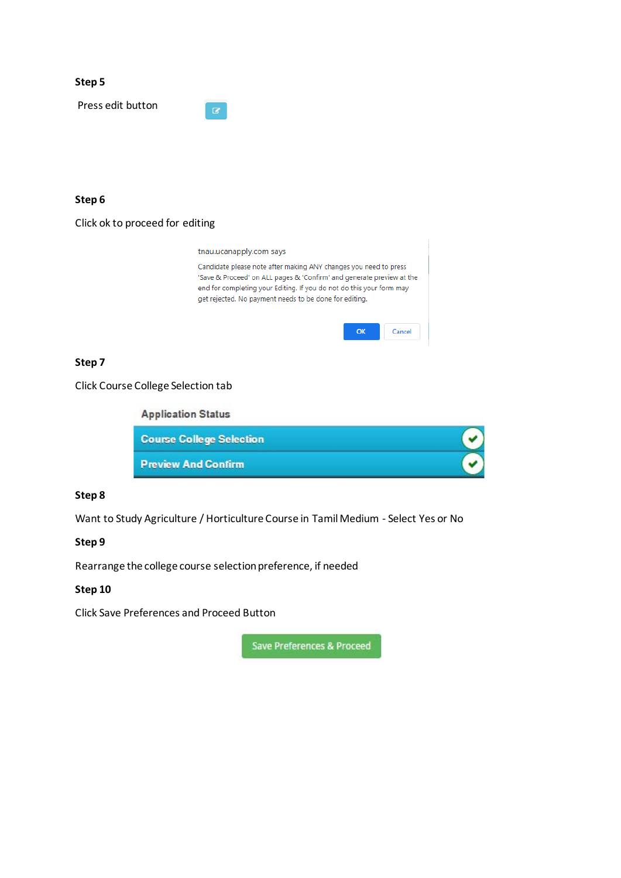| Step 5            |                          |  |  |
|-------------------|--------------------------|--|--|
| Press edit button | $\overline{\mathcal{C}}$ |  |  |
|                   |                          |  |  |

# **Step 6**

|  | Click ok to proceed for editing |  |
|--|---------------------------------|--|
|--|---------------------------------|--|

tnau.ucanapply.com says Candidate please note after making ANY changes you need to press 'Save & Proceed' on ALL pages & 'Confirm' and generate preview at the end for completing your Editing. If you do not do this your form may get rejected. No payment needs to be done for editing.

| ож | Cancel |
|----|--------|
|----|--------|

# **Step 7**

Click Course College Selection tab

**Application Status** 

| <b>Course College Selection</b> |  |
|---------------------------------|--|
| <b>Preview And Confirm</b>      |  |

#### **Step 8**

Want to Study Agriculture / Horticulture Course in Tamil Medium - Select Yes or No

# **Step 9**

Rearrange the college course selection preference, if needed

# **Step 10**

Click Save Preferences and Proceed Button

Save Preferences & Proceed